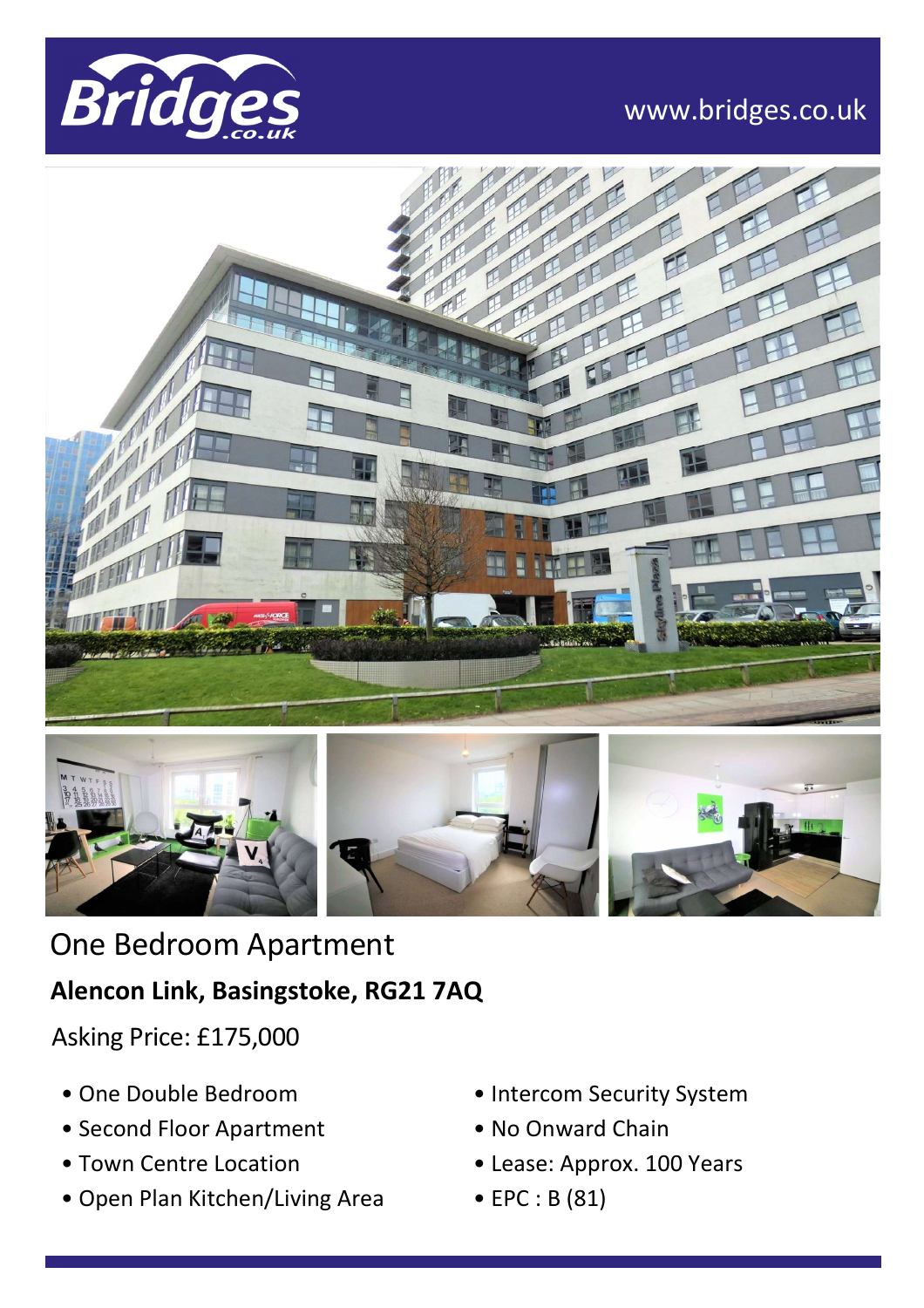

# www.bridges.co.uk





# One Bedroom Apartment

**Alencon Link, Basingstoke, RG21 7AQ**

Asking Price: £175,000

- One Double Bedroom
- Second Floor Apartment
- Town Centre Location
- Open Plan Kitchen/Living Area
- Intercom Security System
- No Onward Chain
- Lease: Approx. 100 Years
- EPC : B (81)